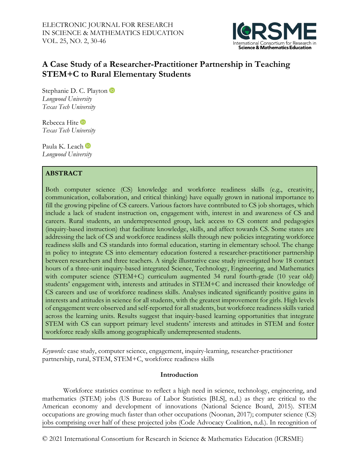

# **A Case Study of a Researcher-Practitioner Partnership in Teaching STEM+C to Rural Elementary Students**

StephanieD. C. Playton *Longwood University Texas Tech University*

RebeccaHite *Texas Tech University*

PaulaK. Leach in *Longwood University*

# **ABSTRACT**

Both computer science (CS) knowledge and workforce readiness skills (e.g., creativity, communication, collaboration, and critical thinking) have equally grown in national importance to fill the growing pipeline of CS careers. Various factors have contributed to CS job shortages, which include a lack of student instruction on, engagement with, interest in and awareness of CS and careers. Rural students, an underrepresented group, lack access to CS content and pedagogies (inquiry-based instruction) that facilitate knowledge, skills, and affect towards CS. Some states are addressing the lack of CS and workforce readiness skills through new policies integrating workforce readiness skills and CS standards into formal education, starting in elementary school. The change in policy to integrate CS into elementary education fostered a researcher-practitioner partnership between researchers and three teachers. A single illustrative case study investigated how 18 contact hours of a three-unit inquiry-based integrated Science, Technology, Engineering, and Mathematics with computer science (STEM+C) curriculum augmented 34 rural fourth-grade (10 year old) students' engagement with, interests and attitudes in STEM+C and increased their knowledge of CS careers and use of workforce readiness skills. Analyses indicated significantly positive gains in interests and attitudes in science for all students, with the greatest improvement for girls. High levels of engagement were observed and self-reported for all students, but workforce readiness skills varied across the learning units. Results suggest that inquiry-based learning opportunities that integrate STEM with CS can support primary level students' interests and attitudes in STEM and foster workforce ready skills among geographically underrepresented students.

*Keywords:* case study, computer science, engagement, inquiry-learning, researcher-practitioner partnership, rural, STEM, STEM+C, workforce readiness skills

# **Introduction**

Workforce statistics continue to reflect a high need in science, technology, engineering, and mathematics (STEM) jobs (US Bureau of Labor Statistics [BLS], n.d.) as they are critical to the American economy and development of innovations (National Science Board, 2015). STEM occupations are growing much faster than other occupations (Noonan, 2017); computer science (CS) jobs comprising over half of these projected jobs (Code Advocacy Coalition, n.d.). In recognition of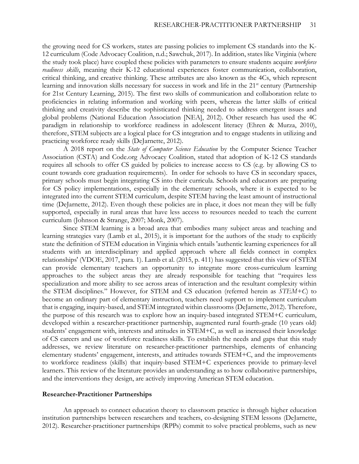the growing need for CS workers, states are passing policies to implement CS standards into the K-12 curriculum (Code Advocacy Coalition, n.d.; Sawchuk, 2017). In addition, states like Virginia (where the study took place) have coupled these policies with parameters to ensure students acquire *workforce readiness skills*, meaning their K-12 educational experiences foster communication, collaboration, critical thinking, and creative thinking. These attributes are also known as the 4Cs, which represent learning and innovation skills necessary for success in work and life in the  $21<sup>st</sup>$  century (Partnership for 21st Century Learning, 2015). The first two skills of communication and collaboration relate to proficiencies in relating information and working with peers, whereas the latter skills of critical thinking and creativity describe the sophisticated thinking needed to address emergent issues and global problems (National Education Association [NEA], 2012). Other research has used the 4C paradigm in relationship to workforce readiness in adolescent literacy (Ehren & Murza, 2010), therefore, STEM subjects are a logical place for CS integration and to engage students in utilizing and practicing workforce ready skills (DeJarnette, 2012).

A 2018 report on the *State of Computer Science Education* by the Computer Science Teacher Association (CSTA) and Code.org Advocacy Coalition, stated that adoption of K-12 CS standards requires all schools to offer CS guided by policies to increase access to CS (e.g. by allowing CS to count towards core graduation requirements). In order for schools to have CS in secondary spaces, primary schools must begin integrating CS into their curricula. Schools and educators are preparing for CS policy implementations, especially in the elementary schools, where it is expected to be integrated into the current STEM curriculum, despite STEM having the least amount of instructional time (DeJarnette, 2012). Even though these policies are in place, it does not mean they will be fully supported, especially in rural areas that have less access to resources needed to teach the current curriculum (Johnson & Strange, 2007; Monk, 2007).

Since STEM learning is a broad area that embodies many subject areas and teaching and learning strategies vary (Lamb et al., 2015), it is important for the authors of the study to explicitly state the definition of STEM education in Virginia which entails 'authentic learning experiences for all students with an interdisciplinary and applied approach where all fields connect in complex relationships' (VDOE, 2017, para. 1). Lamb et al. (2015, p. 411) has suggested that this view of STEM can provide elementary teachers an opportunity to integrate more cross-curriculum learning approaches to the subject areas they are already responsible for teaching that "requires less specialization and more ability to see across areas of interaction and the resultant complexity within the STEM disciplines." However, for STEM and CS education (referred herein as *STEM+C*) to become an ordinary part of elementary instruction, teachers need support to implement curriculum that is engaging, inquiry-based, and STEM integrated within classrooms (DeJarnette, 2012). Therefore, the purpose of this research was to explore how an inquiry-based integrated STEM+C curriculum, developed within a researcher-practitioner partnership, augmented rural fourth-grade (10 years old) students' engagement with, interests and attitudes in STEM+C, as well as increased their knowledge of CS careers and use of workforce readiness skills. To establish the needs and gaps that this study addresses, we review literature on researcher-practitioner partnerships, elements of enhancing elementary students' engagement, interests, and attitudes towards STEM+C, and the improvements to workforce readiness (skills) that inquiry-based STEM+C experiences provide to primary-level learners. This review of the literature provides an understanding as to how collaborative partnerships, and the interventions they design, are actively improving American STEM education.

#### **Researcher-Practitioner Partnerships**

An approach to connect education theory to classroom practice is through higher education institution partnerships between researchers and teachers, co-designing STEM lessons (DeJarnette, 2012). Researcher-practitioner partnerships (RPPs) commit to solve practical problems, such as new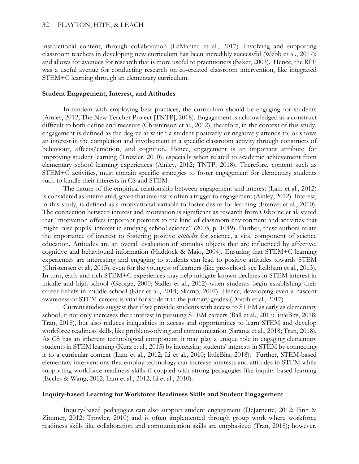instructional content, through collaboration (LeMahieu et al., 2017). Involving and supporting classroom teachers in developing new curriculum has been incredibly successful (Webb et al., 2017); and allows for avenues for research that is more useful to practitioners (Baker, 2003). Hence, the RPP was a useful avenue for conducting research on co-created classroom intervention, like integrated STEM+C learning through an elementary curriculum.

# **Student Engagement, Interest, and Attitudes**

In tandem with employing best practices, the curriculum should be engaging for students (Ainley, 2012; The New Teacher Project [TNTP], 2018). Engagement is acknowledged as a construct difficult to both define and measure (Christenson et al., 2012), therefore, in the context of this study, engagement is defined as the degree at which a student positively or negatively attends to, or shows an interest in the completion and involvement in a specific classroom activity through constructs of behaviour, affects/emotion, and cognition. Hence, engagement is an important attribute for improving student learning (Trowler, 2010), especially when related to academic achievement from elementary school learning experiences (Ainley, 2012; TNTP, 2018). Therefore, content such as STEM+C activities, must contain specific strategies to foster engagement for elementary students such to kindle their interests in CS and STEM.

The nature of the empirical relationship between engagement and interest (Lam et al., 2012) is considered as interrelated, given that interest is often a trigger to engagement (Ainley, 2012). Interest, in this study, is defined as a motivational variable to foster desire for learning (Frenzel et al., 2010). The connection between interest and motivation is significant as research from Osborne et al. stated that "motivation offers important pointers to the kind of classroom environment and activities that might raise pupils' interest in studying school science" (2003, p. 1049). Further, these authors relate the importance of interest to fostering positive *attitudes* for science, a vital component of science education. Attitudes are an overall evaluation of stimulus objects that are influenced by affective, cognitive and behavioural information (Haddock & Maio, 2004). Ensuring that STEM+C learning experiences are interesting and engaging to students can lead to positive attitudes towards STEM (Christensen et al., 2015), even for the youngest of learners (like pre-school, see Leibham et al., 2013). In turn, early and rich STEM+C experiences may help mitigate known declines in STEM interest in middle and high school (George, 2000; Sadler et al., 2012) when students begin establishing their career beliefs in middle school (Kier et al., 2014; Skamp, 2007). Hence, developing even a nascent awareness of STEM careers is vital for student in the primary grades (Dorph et al., 2017).

Current studies suggest that if we provide students with access to STEM as early as elementary school, it not only increases their interest in pursuing STEM careers (Ball et al., 2017; littleBits, 2018; Tran, 2018), but also reduces inequalities in access and opportunities to learn STEM and develop workforce readiness skills, like problem-solving and communication (Sarama et al., 2018; Tran, 2018). As CS has an inherent technological component, it may play a unique role in engaging elementary students in STEM learning (Kurz et al., 2015) by increasing students' interests in STEM by connecting it to a curricular context (Lam et al., 2012; Li et al., 2010; littleBits, 2018). Further, STEM-based elementary interventions that employ technology can increase interests and attitudes in STEM while supporting workforce readiness skills if coupled with strong pedagogies like inquiry-based learning (Eccles & Wang, 2012; Lam et al., 2012; Li et al., 2010).

## **Inquiry-based Learning for Workforce Readiness Skills and Student Engagement**

Inquiry-based pedagogies can also support student engagement (DeJarnette, 2012; Finn & Zimmer, 2012; Trowler, 2010) and is often implemented through group work where workforce readiness skills like collaboration and communication skills are emphasized (Tran, 2018); however,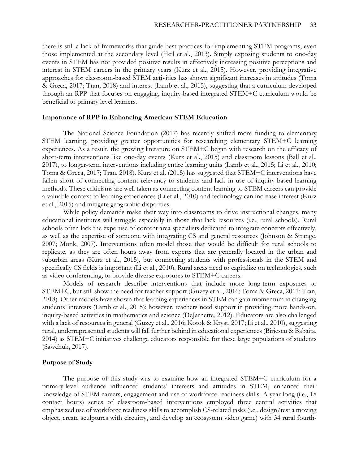there is still a lack of frameworks that guide best practices for implementing STEM programs, even those implemented at the secondary level (Heil et al., 2013). Simply exposing students to one-day events in STEM has not provided positive results in effectively increasing positive perceptions and interest in STEM careers in the primary years (Kurz et al., 2015). However, providing integrative approaches for classroom-based STEM activities has shown significant increases in attitudes (Toma & Greca, 2017; Tran, 2018) and interest (Lamb et al., 2015), suggesting that a curriculum developed through an RPP that focuses on engaging, inquiry-based integrated STEM+C curriculum would be beneficial to primary level learners.

## **Importance of RPP in Enhancing American STEM Education**

The National Science Foundation (2017) has recently shifted more funding to elementary STEM learning, providing greater opportunities for researching elementary STEM+C learning experiences. As a result, the growing literature on STEM+C began with research on the efficacy of short-term interventions like one-day events (Kurz et al., 2015) and classroom lessons (Ball et al., 2017), to longer-term interventions including entire learning units (Lamb et al., 2015; Li et al., 2010; Toma & Greca, 2017; Tran, 2018). Kurz et al. (2015) has suggested that STEM+C interventions have fallen short of connecting content relevancy to students and lack in use of inquiry-based learning methods. These criticisms are well taken as connecting content learning to STEM careers can provide a valuable context to learning experiences (Li et al., 2010) and technology can increase interest (Kurz et al., 2015) and mitigate geographic disparities.

While policy demands make their way into classrooms to drive instructional changes, many educational institutes will struggle especially in those that lack resources (i.e., rural schools). Rural schools often lack the expertise of content area specialists dedicated to integrate concepts effectively, as well as the expertise of someone with integrating CS and general resources (Johnson & Strange, 2007; Monk, 2007). Interventions often model those that would be difficult for rural schools to replicate, as they are often hours away from experts that are generally located in the urban and suburban areas (Kurz et al., 2015), but connecting students with professionals in the STEM and specifically CS fields is important (Li et al., 2010). Rural areas need to capitalize on technologies, such as video conferencing, to provide diverse exposures to STEM+C careers.

Models of research describe interventions that include more long-term exposures to STEM+C, but still show the need for teacher support (Guzey et al., 2016; Toma & Greca, 2017; Tran, 2018). Other models have shown that learning experiences in STEM can gain momentum in changing students' interests (Lamb et al., 2015); however, teachers need support in providing more hands-on, inquiry-based activities in mathematics and science (DeJarnette, 2012). Educators are also challenged with a lack of resources in general (Guzey et al., 2016; Kotok & Kryst, 2017; Li et al., 2010), suggesting rural, underrepresented students will fall further behind in educational experiences (Biriescu & Babaita, 2014) as STEM+C initiatives challenge educators responsible for these large populations of students (Sawchuk, 2017).

## **Purpose of Study**

The purpose of this study was to examine how an integrated STEM+C curriculum for a primary-level audience influenced students' interests and attitudes in STEM, enhanced their knowledge of STEM careers, engagement and use of workforce readiness skills. A year-long (i.e., 18 contact hours) series of classroom-based interventions employed three central activities that emphasized use of workforce readiness skills to accomplish CS-related tasks (i.e., design/test a moving object, create sculptures with circuitry, and develop an ecosystem video game) with 34 rural fourth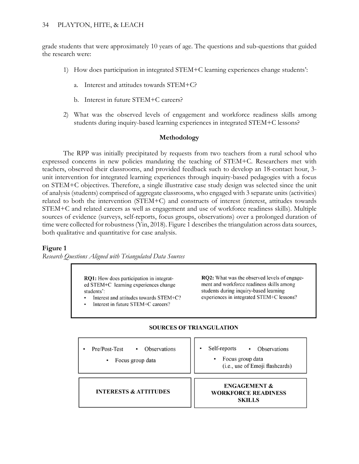grade students that were approximately 10 years of age. The questions and sub-questions that guided the research were:

- 1) How does participation in integrated STEM+C learning experiences change students':
	- a. Interest and attitudes towards STEM+C?
	- b. Interest in future STEM+C careers?
- 2) What was the observed levels of engagement and workforce readiness skills among students during inquiry-based learning experiences in integrated STEM+C lessons?

# **Methodology**

The RPP was initially precipitated by requests from two teachers from a rural school who expressed concerns in new policies mandating the teaching of STEM+C. Researchers met with teachers, observed their classrooms, and provided feedback such to develop an 18-contact hour, 3 unit intervention for integrated learning experiences through inquiry-based pedagogies with a focus on STEM+C objectives. Therefore, a single illustrative case study design was selected since the unit of analysis (students) comprised of aggregate classrooms, who engaged with 3 separate units (activities) related to both the intervention (STEM+C) and constructs of interest (interest, attitudes towards STEM+C and related careers as well as engagement and use of workforce readiness skills). Multiple sources of evidence (surveys, self-reports, focus groups, observations) over a prolonged duration of time were collected for robustness (Yin, 2018). Figure 1 describes the triangulation across data sources, both qualitative and quantitative for case analysis.

# **Figure 1**

*Research Questions Aligned with Triangulated Data Sources*

**RO1:** How does participation in integrated STEM+C learning experiences change students':

- Interest and attitudes towards STEM+C?
- Interest in future STEM+C careers?

RQ2: What was the observed levels of engagement and workforce readiness skills among students during inquiry-based learning experiences in integrated STEM+C lessons?

# **SOURCES OF TRIANGULATION**

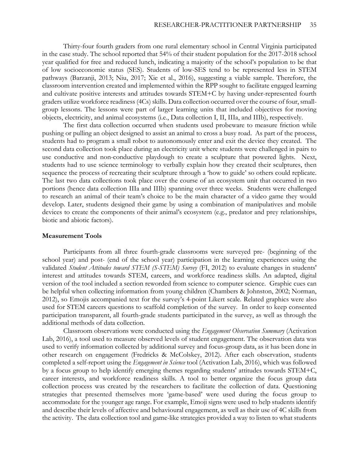Thirty-four fourth graders from one rural elementary school in Central Virginia participated in the case study. The school reported that 54% of their student population for the 2017-2018 school year qualified for free and reduced lunch, indicating a majority of the school's population to be that of low socioeconomic status (SES). Students of low-SES tend to be represented less in STEM pathways (Barzanji, 2013; Niu, 2017; Xie et al., 2016), suggesting a viable sample. Therefore, the classroom intervention created and implemented within the RPP sought to facilitate engaged learning and cultivate positive interests and attitudes towards STEM+C by having under-represented fourth graders utilize workforce readiness (4Cs) skills. Data collection occurred over the course of four, smallgroup lessons. The lessons were part of larger learning units that included objectives for moving objects, electricity, and animal ecosystems (i.e., Data collection I, II, IIIa, and IIIb), respectively.

The first data collection occurred when students used probeware to measure friction while pushing or pulling an object designed to assist an animal to cross a busy road. As part of the process, students had to program a small robot to autonomously enter and exit the device they created. The second data collection took place during an electricity unit where students were challenged in pairs to use conductive and non-conductive playdough to create a sculpture that powered lights. Next, students had to use science terminology to verbally explain how they created their sculptures, then sequence the process of recreating their sculpture through a 'how to guide' so others could replicate. The last two data collections took place over the course of an ecosystem unit that occurred in two portions (hence data collection IIIa and IIIb) spanning over three weeks. Students were challenged to research an animal of their team's choice to be the main character of a video game they would develop. Later, students designed their game by using a combination of manipulatives and mobile devices to create the components of their animal's ecosystem (e.g., predator and prey relationships, biotic and abiotic factors).

### **Measurement Tools**

Participants from all three fourth-grade classrooms were surveyed pre- (beginning of the school year) and post- (end of the school year) participation in the learning experiences using the validated *Student Attitudes toward STEM (S-STEM) Survey* (FI, 2012) to evaluate changes in students' interest and attitudes towards STEM, careers, and workforce readiness skills. An adapted, digital version of the tool included a section reworded from science to computer science. Graphic cues can be helpful when collecting information from young children (Chambers & Johnston, 2002; Norman, 2012), so Emojis accompanied text for the survey's 4-point Likert scale. Related graphics were also used for STEM careers questions to scaffold completion of the survey. In order to keep consented participation transparent, all fourth-grade students participated in the survey, as well as through the additional methods of data collection.

Classroom observations were conducted using the *Engagement Observation Summary* (Activation Lab, 2016), a tool used to measure observed levels of student engagement. The observation data was used to verify information collected by additional survey and focus-group data, as it has been done in other research on engagement (Fredricks & McColskey, 2012). After each observation, students completed a self-report using the *Engagement in Science* tool (Activation Lab, 2016), which was followed by a focus group to help identify emerging themes regarding students' attitudes towards STEM+C, career interests, and workforce readiness skills. A tool to better organize the focus group data collection process was created by the researchers to facilitate the collection of data. Questioning strategies that presented themselves more 'game-based' were used during the focus group to accommodate for the younger age range. For example, Emoji signs were used to help students identify and describe their levels of affective and behavioural engagement, as well as their use of 4C skills from the activity. The data collection tool and game-like strategies provided a way to listen to what students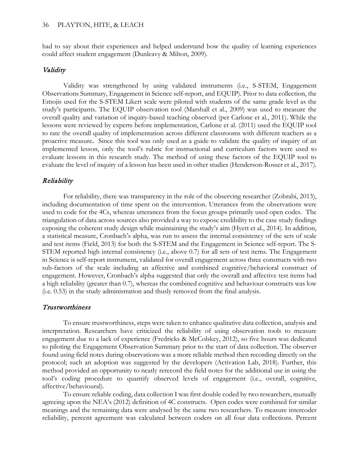had to say about their experiences and helped understand how the quality of learning experiences could affect student engagement (Dunleavy & Milton, 2009).

# Validity

Validity was strengthened by using validated instruments (i.e., S-STEM, Engagement Observations Summary, Engagement in Science self-report, and EQUIP). Prior to data collection, the Emojis used for the S-STEM Likert scale were piloted with students of the same grade level as the study's participants. The EQUIP observation tool (Marshall et al., 2009) was used to measure the overall quality and variation of inquiry-based teaching observed (per Carlone et al., 2011). While the lessons were reviewed by experts before implementation, Carlone et al. (2011) used the EQUIP tool to rate the overall quality of implementation across different classrooms with different teachers as a proactive measure**.** Since this tool was only used as a guide to validate the quality of inquiry of an implemented lesson, only the tool's rubric for instructional and curriculum factors were used to evaluate lessons in this research study. The method of using these factors of the EQUIP tool to evaluate the level of inquiry of a lesson has been used in other studies (Henderson-Rosser et al., 2017).

# Reliability

For reliability, there was transparency in the role of the observing researcher (Zohrabi, 2013), including documentation of time spent on the intervention. Utterances from the observations were used to code for the 4Cs, whereas utterances from the focus groups primarily used open codes. The triangulation of data across sources also provided a way to expose credibility to the case study findings exposing the coherent study design while maintaining the study's aim (Hyett et al., 2014). In addition, a statistical measure, Cronbach's alpha, was run to assess the internal consistency of the sets of scale and test items (Field, 2013) for both the S-STEM and the Engagement in Science self-report. The S-STEM reported high internal consistency (i.e., above 0.7) for all sets of test items. The Engagement in Science is self-report instrument, validated for overall engagement across three constructs with two sub-factors of the scale including an affective and combined cognitive/behavioral construct of engagement. However, Cronbach's alpha suggested that only the overall and affective test items had a high reliability (greater than 0.7), whereas the combined cognitive and behaviour constructs was low (i.e. 0.53) in the study administration and thusly removed from the final analysis.

## Trustworthiness

To ensure trustworthiness, steps were taken to enhance qualitative data collection, analysis and interpretation. Researchers have criticized the reliability of using observation tools to measure engagement due to a lack of experience (Fredricks & McColskey, 2012), so five hours was dedicated to piloting the Engagement Observation Summary prior to the start of data collection. The observer found using field notes during observations was a more reliable method then recording directly on the protocol; such an adoption was suggested by the developers (Activation Lab, 2018). Further, this method provided an opportunity to neatly rerecord the field notes for the additional use in using the tool's coding procedure to quantify observed levels of engagement (i.e., overall, cognitive, affective/behavioural).

To ensure reliable coding, data collection I was first double coded by two researchers, mutually agreeing upon the NEA's (2012) definition of 4C constructs. Open codes were combined for similar meanings and the remaining data were analysed by the same two researchers. To measure intercoder reliability, percent agreement was calculated between coders on all four data collections. Percent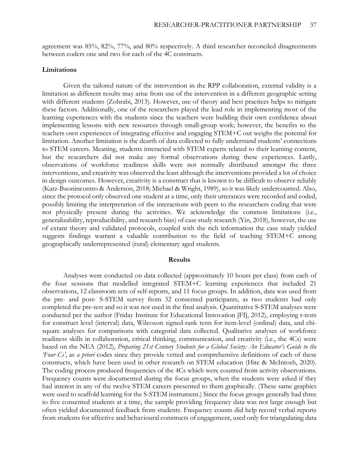agreement was 85%, 82%, 77%, and 80% respectively. A third researcher reconciled disagreements between coders one and two for each of the 4C constructs.

#### **Limitations**

Given the tailored nature of the intervention in the RPP collaboration, external validity is a limitation as different results may arise from use of the intervention in a different geographic setting with different students (Zohrabi, 2013). However, use of theory and best practices helps to mitigate these factors. Additionally, one of the researchers played the lead role in implementing most of the learning experiences with the students since the teachers were building their own confidence about implementing lessons with new resources through small-group work; however, the benefits to the teachers own experiences of integrating effective and engaging STEM+C out weighs the potental for limitation. Another limitation is the dearth of data collected to fully understand students' connections to STEM careers. Meaning, students interacted with STEM experts related to their learning content, but the researchers did not make any formal observations during these experiences. Lastly, observations of workforce readiness skills were not normally distributed amongst the three interventions, and creativity was observed the least although the interventions provided a lot of choice in design outcomes. However, creativity is a construct that is known to be difficult to observe reliably (Katz-Buonincontro & Anderson, 2018; Michael & Wright, 1989), so it was likely undercounted. Also, since the protocol only observed one student at a time, only their utterances were recorded and coded, possibly limiting the interpretation of the interactions with peers to the researchers coding that were not physically present during the activities. We acknowledge the common limitations (i.e., generalizability, reproducibility, and research bias) of case study research (Yin, 2018), however, the use of extant theory and validated protocols, coupled with the rich information the case study yielded suggests findings warrant a valuable contribution to the field of teaching STEM+C among geographically underrepresented (rural) elementary aged students.

#### **Results**

Analyses were conducted on data collected (approximately 10 hours per class) from each of the four sessions that modelled integrated STEM+C learning experiences that included 21 observations, 12 classroom sets of self-reports, and 11 focus groups. In addition, data was used from the pre- and post- S-STEM survey from 32 consented participants, as two students had only completed the pre-test and so it was not used in the final analysis. Quantitative S-STEM analyses were conducted per the author (Friday Institute for Educational Innovation [FI], 2012), employing t-tests for construct level (interval) data, Wilcoxon signed-rank tests for item-level (ordinal) data, and chisquare analyses for comparisons with categorial data collected. Qualitative analyses of workforce readiness skills in collaboration, critical thinking, communication, and creativity (i.e., the 4Cs) were based on the NEA (2012), *Preparing 21st Century Students for a Global Society: An Educator's Guide to the 'Four Cs'*, as *a priori* codes since they provide vetted and comprehensive definitions of each of these constructs, which have been used in other research on STEM education (Hite & McIntosh, 2020). The coding process produced frequencies of the 4Cs which were counted from activity observations. Frequency counts were documented during the focus groups, when the students were asked if they had interest in any of the twelve STEM careers presented to them graphically. (These same graphics were used to scaffold learning for the S-STEM instrument.) Since the focus groups generally had three to five consented students at a time, the sample providing frequency data was not large enough but often yielded documented feedback from students. Frequency counts did help record verbal reports from students for affective and behavioural constructs of engagement, used only for triangulating data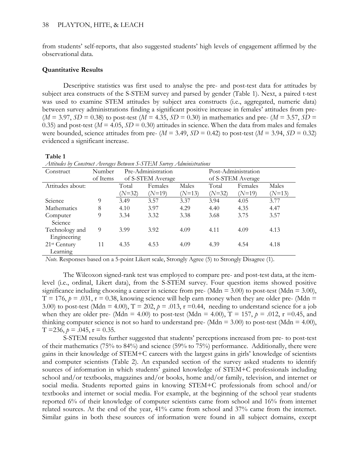from students' self-reports, that also suggested students' high levels of engagement affirmed by the observational data.

### **Quantitative Results**

Descriptive statistics was first used to analyse the pre- and post-test data for attitudes by subject area constructs of the S-STEM survey and parsed by gender (Table 1). Next, a paired t-test was used to examine STEM attitudes by subject area constructs (i.e., aggregated, numeric data) between survey administrations finding a significant positive increase in females' attitudes from pre-  $(M = 3.97, SD = 0.38)$  to post-test  $(M = 4.35, SD = 0.30)$  in mathematics and pre-  $(M = 3.57, SD = 0.30)$ 0.35) and post-test ( $M = 4.05$ ,  $SD = 0.30$ ) attitudes in science. When the data from males and females were bounded, science attitudes from pre-  $(M = 3.49, SD = 0.42)$  to post-test  $(M = 3.94, SD = 0.32)$ evidenced a significant increase.

#### **Table 1**

| Attitudes by Construct Averages Between S-STEM Survey Administrations |  |  |
|-----------------------------------------------------------------------|--|--|
|                                                                       |  |  |

| Construct                | Number   | Pre-Administration |                   |          | Post-Administration |                   |          |  |
|--------------------------|----------|--------------------|-------------------|----------|---------------------|-------------------|----------|--|
|                          | of Items |                    | of S-STEM Average |          |                     | of S-STEM Average |          |  |
| Attitudes about:         |          | Total              | Females           | Males    | Total               | Females           | Males    |  |
|                          |          | $(N=32)$           | $(N=19)$          | $(N=13)$ | $(N=32)$            | $(N=19)$          | $(N=13)$ |  |
| Science                  | 9        | 3.49               | 3.57              | 3.37     | 3.94                | 4.05              | 3.77     |  |
| Mathematics              | 8        | 4.10               | 3.97              | 4.29     | 4.40                | 4.35              | 4.47     |  |
| Computer                 | 9        | 3.34               | 3.32              | 3.38     | 3.68                | 3.75              | 3.57     |  |
| Science                  |          |                    |                   |          |                     |                   |          |  |
| Technology and           | 9        | 3.99               | 3.92              | 4.09     | 4.11                | 4.09              | 4.13     |  |
| Engineering              |          |                    |                   |          |                     |                   |          |  |
| 21 <sup>st</sup> Century | 11       | 4.35               | 4.53              | 4.09     | 4.39                | 4.54              | 4.18     |  |
| Learning                 |          |                    |                   |          |                     |                   |          |  |

*Note.* Responses based on a 5-point Likert scale, Strongly Agree (5) to Strongly Disagree (1).

The Wilcoxon signed-rank test was employed to compare pre- and post-test data, at the itemlevel (i.e., ordinal, Likert data), from the S-STEM survey. Four question items showed positive significance including choosing a career in science from pre- (Mdn =  $3.00$ ) to post-test (Mdn =  $3.00$ ),  $T = 176$ ,  $p = .031$ ,  $r = 0.38$ , knowing science will help earn money when they are older pre- (Mdn = 3.00) to post-test (Mdn = 4.00),  $T = 202$ ,  $p = .013$ ,  $r = 0.44$ , needing to understand science for a job when they are older pre- (Mdn = 4.00) to post-test (Mdn = 4.00),  $T = 157$ ,  $p = .012$ ,  $r = 0.45$ , and thinking computer science is not so hard to understand pre- (Mdn =  $3.00$ ) to post-test (Mdn =  $4.00$ ),  $T = 236$ ,  $p = .045$ ,  $r = 0.35$ .

S-STEM results further suggested that students' perceptions increased from pre- to post-test of their mathematics (75% to 84%) and science (59% to 75%) performance. Additionally, there were gains in their knowledge of STEM+C careers with the largest gains in girls' knowledge of scientists and computer scientists (Table 2). An expanded section of the survey asked students to identify sources of information in which students' gained knowledge of STEM+C professionals including school and/or textbooks, magazines and/or books, home and/or family, television, and internet or social media. Students reported gains in knowing STEM+C professionals from school and/or textbooks and internet or social media. For example, at the beginning of the school year students reported 6% of their knowledge of computer scientists came from school and 16% from internet related sources. At the end of the year, 41% came from school and 37% came from the internet. Similar gains in both these sources of information were found in all subject domains, except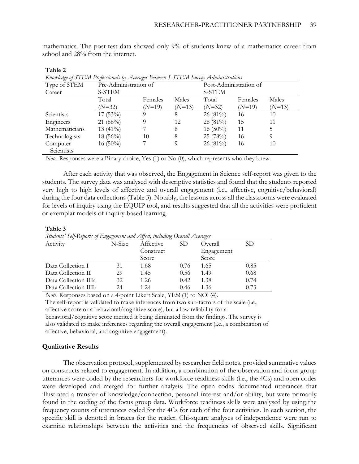mathematics. The post-test data showed only 9% of students knew of a mathematics career from school and 28% from the internet.

| Knowledge of STEM Professionals by Averages Between S-STEM Survey Administrations |                       |          |          |                        |          |          |  |
|-----------------------------------------------------------------------------------|-----------------------|----------|----------|------------------------|----------|----------|--|
| Type of STEM                                                                      | Pre-Administration of |          |          | Post-Administration of |          |          |  |
| Career                                                                            | S-STEM                |          |          | S-STEM                 |          |          |  |
|                                                                                   | Total                 | Females  | Males    | Total                  | Females  | Males    |  |
|                                                                                   | $(N=32)$              | $(N=19)$ | $(N=13)$ | $(N=32)$               | $(N=19)$ | $(N=13)$ |  |
| Scientists                                                                        | $17(53\%)$            | 9        | 8        | $26(81\%)$             | 16       | 10       |  |
| Engineers                                                                         | 21 $(66\%)$           | 9        | 12       | $26(81\%)$             | 15       | 11       |  |
| Mathematicians                                                                    | 13 $(41\%)$           |          | 6        | 16 $(50\%)$            | 11       | 5        |  |
| Technologists                                                                     | $18(56\%)$            | 10       | 8        | 25 (78%)               | 16       | 9        |  |
| Computer                                                                          | $16(50\%)$            |          | 9        | $26(81\%)$             | 16       | 10       |  |
| Scientists                                                                        |                       |          |          |                        |          |          |  |

#### **Table 2**

*Note.* Responses were a Binary choice, Yes (1) or No (0), which represents who they knew.

After each activity that was observed, the Engagement in Science self-report was given to the students. The survey data was analysed with descriptive statistics and found that the students reported very high to high levels of affective and overall engagement (i.e., affective, cognitive/behavioral) during the four data collections (Table 3). Notably, the lessons across all the classrooms were evaluated for levels of inquiry using the EQUIP tool, and results suggested that all the activities were proficient or exemplar models of inquiry-based learning.

#### **Table 3**

|  |  | Students' Self-Reports of Engagement and Affect, including Overall Averages |
|--|--|-----------------------------------------------------------------------------|
|  |  |                                                                             |

|                      | .      |           |      |            |      |
|----------------------|--------|-----------|------|------------|------|
| Activity             | N-Size | Affective | SD   | Overall    | SD   |
|                      |        | Construct |      | Engagement |      |
|                      |        | Score     |      | Score      |      |
| Data Collection I    | 31     | 1.68      | 0.76 | 1.65       | 0.85 |
| Data Collection II   | 29     | 1.45      | 0.56 | 1.49       | 0.68 |
| Data Collection IIIa | 32     | 1.26      | 0.42 | 1.38       | 0.74 |
| Data Collection IIIb | 24     | 1.24      | 0.46 | 1.36       | 0.73 |

*Note.* Responses based on a 4-point Likert Scale, YES! (1) to NO! (4).

The self-report is validated to make inferences from two sub-factors of the scale (i.e.,

affective score or a behavioral/cognitive score), but a low reliability for a

behavioral/cognitive score merited it being eliminated from the findings. The survey is also validated to make inferences regarding the overall engagement (i.e., a combination of affective, behavioral, and cognitive engagement).

#### **Qualitative Results**

The observation protocol, supplemented by researcher field notes, provided summative values on constructs related to engagement. In addition, a combination of the observation and focus group utterances were coded by the researchers for workforce readiness skills (i.e., the 4Cs) and open codes were developed and merged for further analysis. The open codes documented utterances that illustrated a transfer of knowledge/connection, personal interest and/or ability, but were primarily found in the coding of the focus group data. Workforce readiness skills were analysed by using the frequency counts of utterances coded for the 4Cs for each of the four activities. In each section, the specific skill is denoted in braces for the reader. Chi-square analyses of independence were run to examine relationships between the activities and the frequencies of observed skills. Significant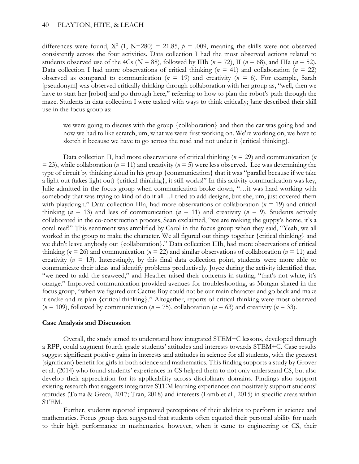differences were found,  $X^2$  (1, N=280) = 21.85,  $p = .009$ , meaning the skills were not observed consistently across the four activities. Data collection I had the most observed actions related to students observed use of the 4Cs ( $N = 88$ ), followed by IIIb ( $n = 72$ ), II ( $n = 68$ ), and IIIa ( $n = 52$ ). Data collection I had more observations of critical thinking (*n* = 41) and collaboration (*n* = 22) observed as compared to communication ( $n = 19$ ) and creativity ( $n = 6$ ). For example, Sarah [pseudonym] was observed critically thinking through collaboration with her group as, "well, then we have to start her [robot] and go through here," referring to how to plan the robot's path through the maze. Students in data collection I were tasked with ways to think critically; Jane described their skill use in the focus group as:

we were going to discuss with the group {collaboration} and then the car was going bad and now we had to like scratch, um, what we were first working on. We're working on, we have to sketch it because we have to go across the road and not under it {critical thinking}.

Data collection II, had more observations of critical thinking (*n* = 29) and communication (*n*   $(2, 2)$ , while collaboration ( $n = 11$ ) and creativity ( $n = 5$ ) were less observed. Lee was determining the type of circuit by thinking aloud in his group {communication} that it was "parallel because if we take a light out (takes light out) {critical thinking}, it still works!" In this activity communication was key, Julie admitted in the focus group when communication broke down, "…it was hard working with somebody that was trying to kind of do it all…I tried to add designs, but she, um, just covered them with playdough." Data collection IIIa, had more observations of collaboration (*n* = 19) and critical thinking ( $n = 13$ ) and less of communication ( $n = 11$ ) and creativity ( $n = 9$ ). Students actively collaborated in the co-construction process, Sean exclaimed, "we are making the guppy's home, it's a coral reef!" This sentiment was amplified by Carol in the focus group when they said, "Yeah, we all worked in the group to make the character. We all figured out things together {critical thinking} and we didn't leave anybody out {collaboration}." Data collection IIIb, had more observations of critical thinking ( $n = 26$ ) and communication ( $n = 22$ ) and similar observations of collaboration ( $n = 11$ ) and creativity  $(n = 13)$ . Interestingly, by this final data collection point, students were more able to communicate their ideas and identify problems productively. Joyce during the activity identified that, "we need to add the seaweed," and Heather raised their concerns in stating, "that's not white, it's orange." Improved communication provided avenues for troubleshooting, as Morgan shared in the focus group, "when we figured out Cactus Boy could not be our main character and go back and make it snake and re-plan {critical thinking}." Altogether, reports of critical thinking were most observed  $(n = 109)$ , followed by communication  $(n = 75)$ , collaboration  $(n = 63)$  and creativity  $(n = 33)$ .

#### **Case Analysis and Discussion**

Overall, the study aimed to understand how integrated STEM+C lessons, developed through a RPP, could augment fourth grade students' attitudes and interests towards STEM+C. Case results suggest significant positive gains in interests and attitudes in science for all students, with the greatest (significant) benefit for girls in both science and mathematics. This finding supports a study by Grover et al. (2014) who found students' experiences in CS helped them to not only understand CS, but also develop their appreciation for its applicability across disciplinary domains. Findings also support existing research that suggests integrative STEM learning experiences can positively support students' attitudes (Toma & Greca, 2017; Tran, 2018) and interests (Lamb et al., 2015) in specific areas within STEM.

Further, students reported improved perceptions of their abilities to perform in science and mathematics. Focus group data suggested that students often equated their personal ability for math to their high performance in mathematics, however, when it came to engineering or CS, their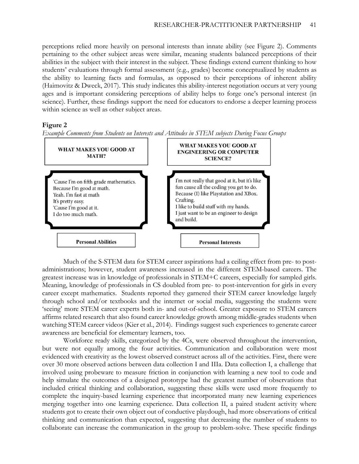perceptions relied more heavily on personal interests than innate ability (see Figure 2). Comments pertaining to the other subject areas were similar, meaning students balanced perceptions of their abilities in the subject with their interest in the subject. These findings extend current thinking to how students' evaluations through formal assessment (e.g., grades) become conceptualized by students as the ability to learning facts and formulas, as opposed to their perceptions of inherent ability (Haimovitz & Dweck, 2017). This study indicates this ability-interest negotiation occurs at very young ages and is important considering perceptions of ability helps to forge one's personal interest (in science). Further, these findings support the need for educators to endorse a deeper learning process within science as well as other subject areas.

# **Figure 2**



*Example Comments from Students on Interests and Attitudes in STEM subjects During Focus Groups*

Much of the S-STEM data for STEM career aspirations had a ceiling effect from pre- to postadministrations; however, student awareness increased in the different STEM-based careers. The greatest increase was in knowledge of professionals in STEM+C careers, especially for sampled girls. Meaning, knowledge of professionals in CS doubled from pre- to post-intervention for girls in every career except mathematics. Students reported they garnered their STEM career knowledge largely through school and/or textbooks and the internet or social media, suggesting the students were 'seeing' more STEM career experts both in- and out-of-school. Greater exposure to STEM careers affirms related research that also found career knowledge growth among middle-grades students when watching STEM career videos (Kier et al., 2014). Findings suggest such experiences to generate career awareness are beneficial for elementary learners, too.

 Workforce ready skills, categorized by the 4Cs, were observed throughout the intervention, but were not equally among the four activities. Communication and collaboration were most evidenced with creativity as the lowest observed construct across all of the activities. First, there were over 30 more observed actions between data collection I and IIIa. Data collection I, a challenge that involved using probeware to measure friction in conjunction with learning a new tool to code and help simulate the outcomes of a designed prototype had the greatest number of observations that included critical thinking and collaboration, suggesting these skills were used more frequently to complete the inquiry-based learning experience that incorporated many new learning experiences merging together into one learning experience. Data collection II, a paired student activity where students got to create their own object out of conductive playdough, had more observations of critical thinking and communication than expected, suggesting that decreasing the number of students to collaborate can increase the communication in the group to problem-solve. These specific findings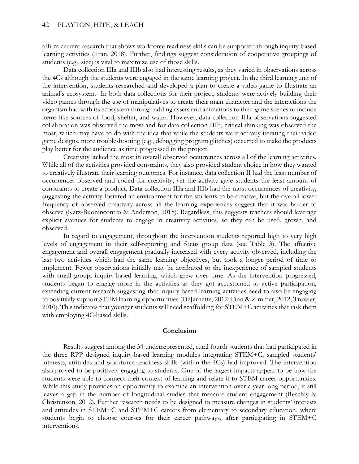affirm current research that shows workforce readiness skills can be supported through inquiry-based learning activities (Tran, 2018). Further, findings suggest consideration of cooperative groupings of students (e.g., size) is vital to maximize use of those skills.

Data collection IIIa and IIIb also had interesting results, as they varied in observations across the 4Cs although the students were engaged in the same learning project. In the third learning unit of the intervention, students researched and developed a plan to create a video game to illustrate an animal's ecosystem. In both data collections for their project, students were actively building their video games through the use of manipulatives to create their main character and the interactions the organism had with its ecosystem through adding assets and animations to their game scenes to include items like sources of food, shelter, and water. However, data collection IIIa observations suggested collaboration was observed the most and for data collection IIIb, critical thinking was observed the most, which may have to do with the idea that while the students were actively iterating their video game designs, more troubleshooting (e.g., debugging program glitches) occurred to make the products play better for the audience as time progressed in the project.

Creativity lacked the most in overall observed occurrences across all of the learning activities. While all of the activities provided constraints, they also provided student choice in how they wanted to creatively illustrate their learning outcomes. For instance, data collection II had the least number of occurrences observed and coded for creativity, yet the activity gave students the least amount of constraints to create a product. Data collection IIIa and IIIb had the most occurrences of creativity, suggesting the activity fostered an environment for the students to be creative, but the overall lower frequency of observed creativity across all the learning experiences suggest that it was harder to observe (Katz-Buonincontro & Anderson, 2018). Regardless, this suggests teachers should leverage explicit avenues for students to engage in creativity activities, so they can be used, grown, and observed.

 In regard to engagement, throughout the intervention students reported high to very high levels of engagement in their self-reporting and focus group data (see Table 3). The affective engagement and overall engagement gradually increased with every activity observed, including the last two activities which had the same learning objectives, but took a longer period of time to implement. Fewer observations initially may be attributed to the inexperience of sampled students with small group, inquiry-based learning, which grew over time. As the intervention progressed, students began to engage more in the activities as they got accustomed to active participation, extending current research suggesting that inquiry-based learning activities need to also be engaging to positively support STEM learning opportunities (DeJarnette, 2012; Finn & Zimmer, 2012; Trowler, 2010). This indicates that younger students will need scaffolding for STEM+C activities that task them with employing 4C-based skills.

#### **Conclusion**

Results suggest among the 34 underrepresented, rural fourth students that had participated in the three RPP designed inquiry-based learning modules integrating STEM+C, sampled students' interests, attitudes and workforce readiness skills (within the 4Cs) had improved. The intervention also proved to be positively engaging to students. One of the largest impacts appear to be how the students were able to connect their context of learning and relate it to STEM career opportunities. While this study provides an opportunity to examine an intervention over a year-long period, it still leaves a gap in the number of longitudinal studies that measure student engagement (Reschly & Christenson, 2012). Further research needs to be designed to measure changes in students' interests and attitudes in STEM+C and STEM+C careers from elementary to secondary education, where students begin to choose courses for their career pathways, after participating in STEM+C interventions.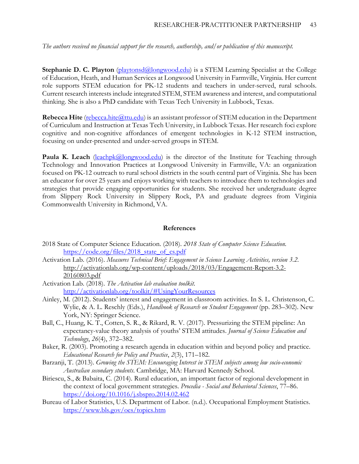*The authors received no financial support for the research, authorship, and/or publication of this manuscript.*

**Stephanie D. C. Playton** [\(playtonsd@longwood.edu\)](mailto:playtonsd@longwood.edu) is a STEM Learning Specialist at the College of Education, Heath, and Human Services at Longwood University in Farmville, Virginia. Her current role supports STEM education for PK-12 students and teachers in under-served, rural schools. Current research interests include integrated STEM, STEM awareness and interest, and computational thinking. She is also a PhD candidate with Texas Tech University in Lubbock, Texas.

**Rebecca Hite** (rebecca.hite (a) tu.edu) is an assistant professor of STEM education in the Department of Curriculum and Instruction at Texas Tech University, in Lubbock Texas. Her research foci explore cognitive and non-cognitive affordances of emergent technologies in K-12 STEM instruction, focusing on under-presented and under-served groups in STEM.

**Paula K. Leach** [\(leachpk@longwood.edu\)](mailto:leachpk@longwood.edu) is the director of the Institute for Teaching through Technology and Innovation Practices at Longwood University in Farmville, VA: an organization focused on PK-12 outreach to rural school districts in the south central part of Virginia. She has been an educator for over 25 years and enjoys working with teachers to introduce them to technologies and strategies that provide engaging opportunities for students. She received her undergraduate degree from Slippery Rock University in Slippery Rock, PA and graduate degrees from Virginia Commonwealth University in Richmond, VA.

## **References**

- 2018 State of Computer Science Education. (2018). *2018 State of Computer Science Education.* [https://code.org/files/2018\\_state\\_of\\_cs.pdf](https://code.org/files/2018_state_of_cs.pdf)
- Activation Lab. (2016). *Measures Technical Brief: Engagement in Science Learning Activities, version 3.2*. [http://activationlab.org/wp-content/uploads/2018/03/Engagement-Report-3.2-](http://activationlab.org/wp-content/uploads/2018/03/Engagement-Report-3.2-20160803.pdf) [20160803.pdf](http://activationlab.org/wp-content/uploads/2018/03/Engagement-Report-3.2-20160803.pdf)
- Activation Lab. (2018). *The Activation lab evaluation toolkit.* <http://activationlab.org/toolkit/#UsingYourResources>
- Ainley, M. (2012). Students' interest and engagement in classroom activities. In S. L. Christenson, C. Wylie, & A. L. Reschly (Eds.), *Handbook of Research on Student Engagement* (pp. 283–302). New York, NY: Springer Science.
- Ball, C., Huang, K. T., Cotten, S. R., & Rikard, R. V. (2017). Pressurizing the STEM pipeline: An expectancy-value theory analysis of youths' STEM attitudes. *Journal of Science Education and Technology*, *26*(4), 372–382.
- Baker, R. (2003). Promoting a research agenda in education within and beyond policy and practice. *Educational Research for Policy and Practice*, *2*(3), 171–182.
- Barzanji, T. (2013). *Growing the STEM: Encouraging Interest in STEM subjects among low socio-economic Australian secondary students*. Cambridge, MA: Harvard Kennedy School.
- Biriescu, S., & Babaita, C. (2014). Rural education, an important factor of regional development in the context of local government strategies. *Procedia - Social and Behavioral Sciences*, 77–86. <https://doi.org/10.1016/j.sbspro.2014.02.462>
- Bureau of Labor Statistics, U.S. Department of Labor. (n.d.). Occupational Employment Statistics. <https://www.bls.gov/oes/topics.htm>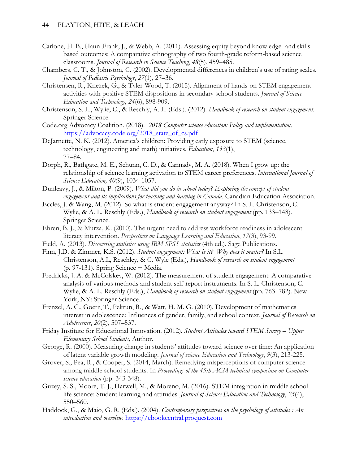- Carlone, H. B., Haun-Frank, J., & Webb, A. (2011). Assessing equity beyond knowledge- and skillsbased outcomes: A comparative ethnography of two fourth-grade reform-based science classrooms. *Journal of Research in Science Teaching*, *48*(5), 459–485.
- Chambers, C. T., & Johnston, C. (2002). Developmental differences in children's use of rating scales. *Journal of Pediatric Psychology*, *27*(1), 27–36.
- Christensen, R., Knezek, G., & Tyler-Wood, T. (2015). Alignment of hands-on STEM engagement activities with positive STEM dispositions in secondary school students. *Journal of Science Education and Technology*, *24*(6), 898-909.
- Christenson, S. L., Wylie, C., & Reschly, A. L. (Eds.). (2012). *Handbook of research on student engagement*. Springer Science.
- Code.org Advocacy Coalition. (2018). *2018 Computer science education: Policy and implementation*. [https://advocacy.code.org/2018\\_state\\_of\\_cs.pdf](https://advocacy.code.org/2018_state_of_cs.pdf)
- DeJarnette, N. K. (2012). America's children: Providing early exposure to STEM (science, technology, engineering and math) initiatives. *Education*, *133*(1), 77–84.
- Dorph, R., Bathgate, M. E., Schunn, C. D., & Cannady, M. A. (2018). When I grow up: the relationship of science learning activation to STEM career preferences. *International Journal of Science Education, 40*(9), 1034-1057.
- Dunleavy, J., & Milton, P. (2009). *What did you do in school today? Exploring the concept of student engagement and its implications for teaching and learning in Canada*. Canadian Education Association.
- Eccles, J. & Wang, M. (2012). So what is student engagement anyway? In S. L. Christenson, C. Wylie, & A. L. Reschly (Eds.), *Handbook of research on student engagement* (pp. 133–148). Springer Science.
- Ehren, B. J., & Murza, K. (2010). The urgent need to address workforce readiness in adolescent literacy intervention. *Perspectives on Language Learning and Education*, *17*(3), 93-99.
- Field, A. (2013). *Discovering statistics using IBM SPSS statistics* (4th ed.). Sage Publications.
- Finn, J.D. & Zimmer, K.S. (2012). *Student engagement: What is it? Why does it matter?* In S.L. Christenson, A.L, Reschley, & C. Wyle (Eds.), *Handbook of research on student engagement* (p. 97-131). Spring Science + Media.
- Fredricks, J. A. & McColskey, W. (2012). The measurement of student engagement: A comparative analysis of various methods and student self-report instruments. In S. L. Christenson, C. Wylie, & A. L. Reschly (Eds.), *Handbook of research on student engagement* (pp. 763–782). New York, NY: Springer Science.
- Frenzel, A. C., Goetz, T., Pekrun, R., & Watt, H. M. G. (2010). Development of mathematics interest in adolescence: Influences of gender, family, and school context. *Journal of Research on Adolescence*, *20*(2), 507–537.
- Friday Institute for Educational Innovation. (2012)*. Student Attitudes toward STEM Survey – Upper Elementary School Students,* Author.
- George, R. (2000). Measuring change in students' attitudes toward science over time: An application of latent variable growth modeling. *Journal of science Education and Technology*, *9*(3), 213-225.
- Grover, S., Pea, R., & Cooper, S. (2014, March). Remedying misperceptions of computer science among middle school students. In *Proceedings of the 45th ACM technical symposium on Computer science education* (pp. 343-348).
- Guzey, S. S., Moore, T. J., Harwell, M., & Moreno, M. (2016). STEM integration in middle school life science: Student learning and attitudes. *Journal of Science Education and Technology*, *25*(4), 550–560.
- Haddock, G., & Maio, G. R. (Eds.). (2004). *Contemporary perspectives on the psychology of attitudes : An introduction and overview*. [https://ebookcentral.proquest.com](https://ebookcentral.proquest.com/)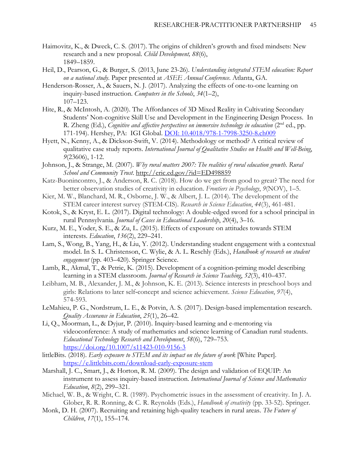- Haimovitz, K., & Dweck, C. S. (2017). The origins of children's growth and fixed mindsets: New research and a new proposal. *Child Development, 88*(6), 1849–1859.
- Heil, D., Pearson, G., & Burger, S. (2013, June 23-26). *Understanding integrated STEM education: Report on a national study*. Paper presented at *ASEE Annual Conference*. Atlanta, GA.
- Henderson-Rosser, A., & Sauers, N. J. (2017). Analyzing the effects of one-to-one learning on inquiry-based instruction. *Computers in the Schools*, *34*(1–2), 107–123.
- Hite, R., & McIntosh, A. (2020). The Affordances of 3D Mixed Reality in Cultivating Secondary Students' Non-cognitive Skill Use and Development in the Engineering Design Process. In R. Zheng (Ed.), *Cognitive and affective perspectives on immersive technology in education* (2nd ed., pp. 171-194). Hershey, PA: IGI Global. [DOI: 10.4018/978-1-7998-3250-8.ch009](https://nam04.safelinks.protection.outlook.com/?url=https%3A%2F%2Fwww.igi-global.com%2Fchapter%2Fthe-affordances-of-3d-mixed-reality-in-cultivating-secondary-students-non-cognitive-skills-use-and-development-in-the-engineering-design-process%2F253695&data=04%7C01%7CStephanie.Playton%40ttu.edu%7C58b0097c82f64293f7a408d8eae049e8%7C178a51bf8b2049ffb65556245d5c173c%7C0%7C0%7C637517596316569069%7CUnknown%7CTWFpbGZsb3d8eyJWIjoiMC4wLjAwMDAiLCJQIjoiV2luMzIiLCJBTiI6Ik1haWwiLCJXVCI6Mn0%3D%7C1000&sdata=hcNgJHPunuByffYLt%2FiSWTJJatE%2BoSDILnQ%2Fbh6b76U%3D&reserved=0)
- Hyett, N., Kenny, A., & Dickson-Swift, V. (2014). Methodology or method? A critical review of qualitative case study reports. *International Journal of Qualitative Studies on Health and Well-Being*, *9*(23606), 1-12.
- Johnson, J., & Strange, M. (2007). *Why rural matters 2007: The realities of rural education growth*. *Rural School and Community Trust*.<http://eric.ed.gov/?id=ED498859>
- Katz-Buonincontro, J., & Anderson, R. C. (2018). How do we get from good to great? The need for better observation studies of creativity in education. *Frontiers in Psychology*, *9*(NOV), 1–5.
- Kier, M. W., Blanchard, M. R., Osborne, J. W., & Albert, J. L. (2014). The development of the STEM career interest survey (STEM-CIS). *Research in Science Education*, *44*(3), 461-481.
- Kotok, S., & Kryst, E. L. (2017). Digital technology: A double-edged sword for a school principal in rural Pennsylvania. *Journal of Cases in Educational Leadership*, *20*(4), 3–16.
- Kurz, M. E., Yoder, S. E., & Zu, L. (2015). Effects of exposure on attitudes towards STEM interests. *Education*, *136*(2), 229–241.
- Lam, S., Wong, B., Yang, H., & Liu, Y. (2012). Understanding student engagement with a contextual model. In S. L. Christenson, C. Wylie, & A. L. Reschly (Eds.), *Handbook of research on student engagement* (pp. 403–420). Springer Science.
- Lamb, R., Akmal, T., & Petrie, K. (2015). Development of a cognition-priming model describing learning in a STEM classroom. *Journal of Research in Science Teaching*, *52*(3), 410–437.
- Leibham, M. B., Alexander, J. M., & Johnson, K. E. (2013). Science interests in preschool boys and girls: Relations to later self‐concept and science achievement. *Science Education*, *97*(4), 574-593.
- LeMahieu, P. G., Nordstrum, L. E., & Potvin, A. S. (2017). Design-based implementation research. *Quality Assurance in Education*, *25*(1), 26–42.
- Li, Q., Moorman, L., & Dyjur, P. (2010). Inquiry-based learning and e-mentoring via videoconference: A study of mathematics and science learning of Canadian rural students. *Educational Technology Research and Development*, *58*(6), 729–753. <https://doi.org/10.1007/s11423-010-9156-3>
- littleBits. (2018). *Early exposure to STEM and its impact on the future of work* [White Paper]. <https://e.littlebits.com/download-early-exposure-stem>
- Marshall, J. C., Smart, J., & Horton, R. M. (2009). The design and validation of EQUIP: An instrument to assess inquiry-based instruction. *International Journal of Science and Mathematics Education*, *8*(2), 299–321.
- Michael, W. B., & Wright, C. R. (1989). Psychometric issues in the assessment of creativity. In J. A. Glober, R. R. Ronning, & C. R. Reynolds (Eds.), *Handbook of creativity* (pp. 33-52). Springer.
- Monk, D. H. (2007). Recruiting and retaining high-quality teachers in rural areas. *The Future of Children*, *17*(1), 155–174.